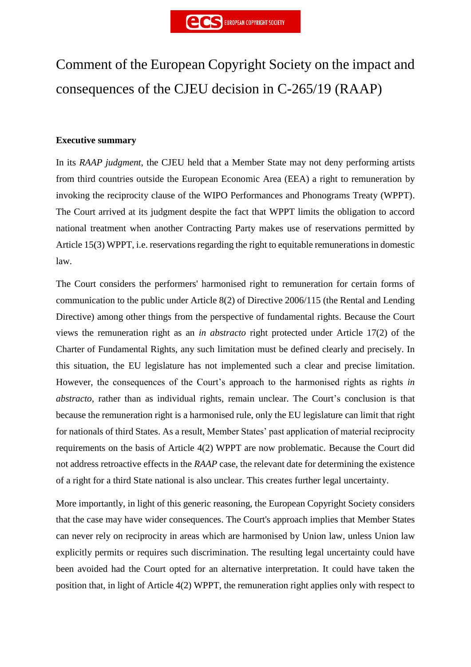# Comment of the European Copyright Society on the impact and consequences of the CJEU decision in C-265/19 (RAAP)

# **Executive summary**

In its *RAAP judgment*, the CJEU held that a Member State may not deny performing artists from third countries outside the European Economic Area (EEA) a right to remuneration by invoking the reciprocity clause of the WIPO Performances and Phonograms Treaty (WPPT). The Court arrived at its judgment despite the fact that WPPT limits the obligation to accord national treatment when another Contracting Party makes use of reservations permitted by Article 15(3) WPPT, i.e. reservations regarding the right to equitable remunerations in domestic law.

The Court considers the performers' harmonised right to remuneration for certain forms of communication to the public under Article 8(2) of Directive 2006/115 (the Rental and Lending Directive) among other things from the perspective of fundamental rights. Because the Court views the remuneration right as an *in abstracto* right protected under Article 17(2) of the Charter of Fundamental Rights, any such limitation must be defined clearly and precisely. In this situation, the EU legislature has not implemented such a clear and precise limitation. However, the consequences of the Court's approach to the harmonised rights as rights *in abstracto,* rather than as individual rights, remain unclear. The Court's conclusion is that because the remuneration right is a harmonised rule, only the EU legislature can limit that right for nationals of third States. As a result, Member States' past application of material reciprocity requirements on the basis of Article 4(2) WPPT are now problematic. Because the Court did not address retroactive effects in the *RAAP* case, the relevant date for determining the existence of a right for a third State national is also unclear. This creates further legal uncertainty.

More importantly, in light of this generic reasoning, the European Copyright Society considers that the case may have wider consequences. The Court's approach implies that Member States can never rely on reciprocity in areas which are harmonised by Union law, unless Union law explicitly permits or requires such discrimination. The resulting legal uncertainty could have been avoided had the Court opted for an alternative interpretation. It could have taken the position that, in light of Article 4(2) WPPT, the remuneration right applies only with respect to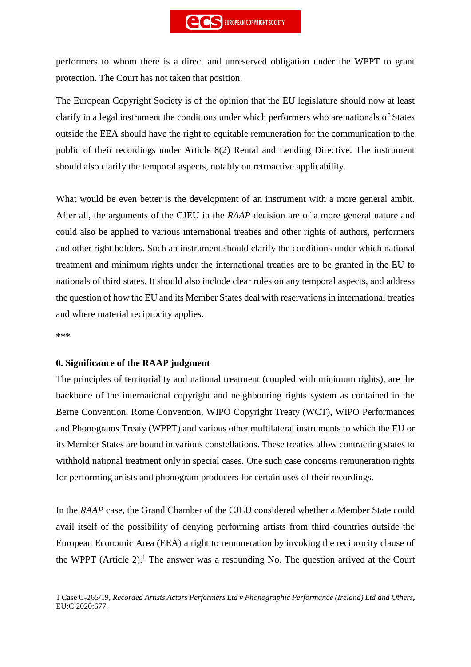performers to whom there is a direct and unreserved obligation under the WPPT to grant protection. The Court has not taken that position.

The European Copyright Society is of the opinion that the EU legislature should now at least clarify in a legal instrument the conditions under which performers who are nationals of States outside the EEA should have the right to equitable remuneration for the communication to the public of their recordings under Article 8(2) Rental and Lending Directive. The instrument should also clarify the temporal aspects, notably on retroactive applicability.

What would be even better is the development of an instrument with a more general ambit. After all, the arguments of the CJEU in the *RAAP* decision are of a more general nature and could also be applied to various international treaties and other rights of authors, performers and other right holders. Such an instrument should clarify the conditions under which national treatment and minimum rights under the international treaties are to be granted in the EU to nationals of third states. It should also include clear rules on any temporal aspects, and address the question of how the EU and its Member States deal with reservations in international treaties and where material reciprocity applies.

\*\*\*

#### **0. Significance of the RAAP judgment**

The principles of territoriality and national treatment (coupled with minimum rights), are the backbone of the international copyright and neighbouring rights system as contained in the Berne Convention, Rome Convention, WIPO Copyright Treaty (WCT), WIPO Performances and Phonograms Treaty (WPPT) and various other multilateral instruments to which the EU or its Member States are bound in various constellations. These treaties allow contracting states to withhold national treatment only in special cases. One such case concerns remuneration rights for performing artists and phonogram producers for certain uses of their recordings.

In the *RAAP* case, the Grand Chamber of the CJEU considered whether a Member State could avail itself of the possibility of denying performing artists from third countries outside the European Economic Area (EEA) a right to remuneration by invoking the reciprocity clause of the WPPT (Article 2).<sup>1</sup> The answer was a resounding No. The question arrived at the Court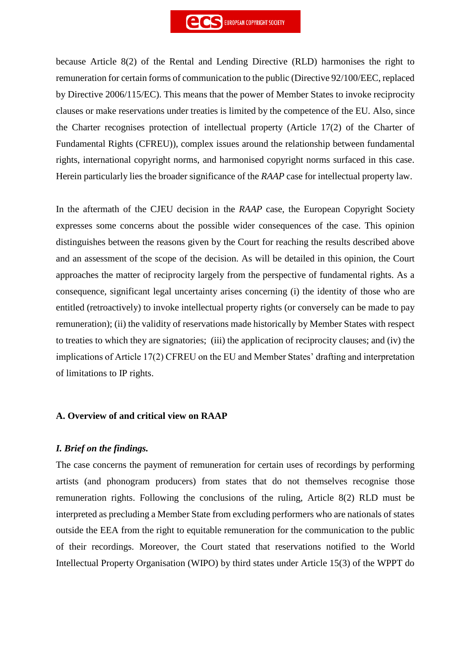

because Article 8(2) of the Rental and Lending Directive (RLD) harmonises the right to remuneration for certain forms of communication to the public (Directive 92/100/EEC, replaced by Directive 2006/115/EC). This means that the power of Member States to invoke reciprocity clauses or make reservations under treaties is limited by the competence of the EU. Also, since the Charter recognises protection of intellectual property (Article 17(2) of the Charter of Fundamental Rights (CFREU)), complex issues around the relationship between fundamental rights, international copyright norms, and harmonised copyright norms surfaced in this case. Herein particularly lies the broader significance of the *RAAP* case for intellectual property law.

In the aftermath of the CJEU decision in the *RAAP* case, the European Copyright Society expresses some concerns about the possible wider consequences of the case. This opinion distinguishes between the reasons given by the Court for reaching the results described above and an assessment of the scope of the decision. As will be detailed in this opinion, the Court approaches the matter of reciprocity largely from the perspective of fundamental rights. As a consequence, significant legal uncertainty arises concerning (i) the identity of those who are entitled (retroactively) to invoke intellectual property rights (or conversely can be made to pay remuneration); (ii) the validity of reservations made historically by Member States with respect to treaties to which they are signatories; (iii) the application of reciprocity clauses; and (iv) the implications of Article 17(2) CFREU on the EU and Member States' drafting and interpretation of limitations to IP rights.

#### **A. Overview of and critical view on RAAP**

#### *I. Brief on the findings.*

The case concerns the payment of remuneration for certain uses of recordings by performing artists (and phonogram producers) from states that do not themselves recognise those remuneration rights. Following the conclusions of the ruling, Article 8(2) RLD must be interpreted as precluding a Member State from excluding performers who are nationals of states outside the EEA from the right to equitable remuneration for the communication to the public of their recordings. Moreover, the Court stated that reservations notified to the World Intellectual Property Organisation (WIPO) by third states under Article 15(3) of the WPPT do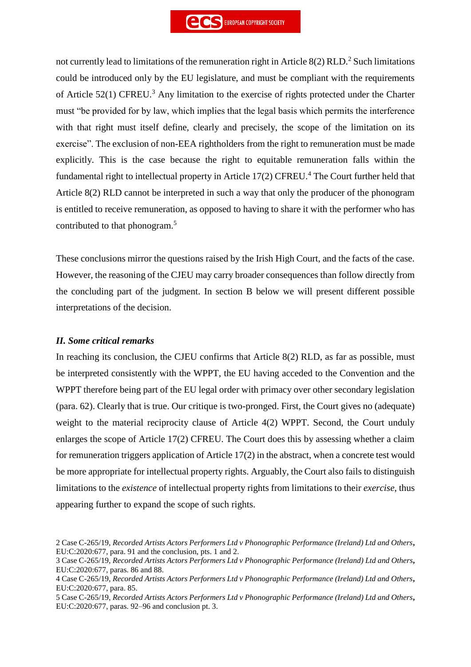not currently lead to limitations of the remuneration right in Article  $8(2)$  RLD.<sup>2</sup> Such limitations could be introduced only by the EU legislature, and must be compliant with the requirements of Article  $52(1)$  CFREU.<sup>3</sup> Any limitation to the exercise of rights protected under the Charter must "be provided for by law, which implies that the legal basis which permits the interference with that right must itself define, clearly and precisely, the scope of the limitation on its exercise". The exclusion of non-EEA rightholders from the right to remuneration must be made explicitly. This is the case because the right to equitable remuneration falls within the fundamental right to intellectual property in Article 17(2) CFREU.<sup>4</sup> The Court further held that Article 8(2) RLD cannot be interpreted in such a way that only the producer of the phonogram is entitled to receive remuneration, as opposed to having to share it with the performer who has contributed to that phonogram.<sup>5</sup>

These conclusions mirror the questions raised by the Irish High Court, and the facts of the case. However, the reasoning of the CJEU may carry broader consequences than follow directly from the concluding part of the judgment. In section B below we will present different possible interpretations of the decision.

# *II. Some critical remarks*

In reaching its conclusion, the CJEU confirms that Article 8(2) RLD, as far as possible, must be interpreted consistently with the WPPT, the EU having acceded to the Convention and the WPPT therefore being part of the EU legal order with primacy over other secondary legislation (para. 62). Clearly that is true. Our critique is two-pronged. First, the Court gives no (adequate) weight to the material reciprocity clause of Article 4(2) WPPT. Second, the Court unduly enlarges the scope of Article 17(2) CFREU. The Court does this by assessing whether a claim for remuneration triggers application of Article 17(2) in the abstract, when a concrete test would be more appropriate for intellectual property rights. Arguably, the Court also fails to distinguish limitations to the *existence* of intellectual property rights from limitations to their *exercise*, thus appearing further to expand the scope of such rights.

<sup>2</sup> Case C-265/19, *Recorded Artists Actors Performers Ltd v Phonographic Performance (Ireland) Ltd and Others***,** EU:C:2020:677, para. 91 and the conclusion, pts. 1 and 2.

<sup>3</sup> Case C-265/19, *Recorded Artists Actors Performers Ltd v Phonographic Performance (Ireland) Ltd and Others***,** EU:C:2020:677, paras. 86 and 88.

<sup>4</sup> Case C-265/19, *Recorded Artists Actors Performers Ltd v Phonographic Performance (Ireland) Ltd and Others***,** EU:C:2020:677, para. 85.

<sup>5</sup> Case C-265/19, *Recorded Artists Actors Performers Ltd v Phonographic Performance (Ireland) Ltd and Others***,** EU:C:2020:677, paras. 92–96 and conclusion pt. 3.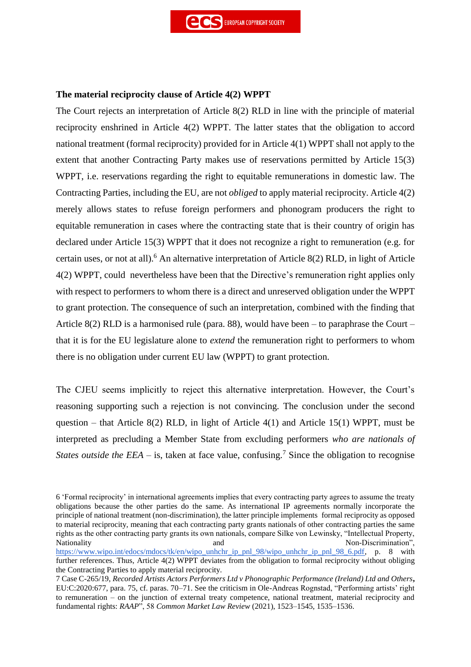## **The material reciprocity clause of Article 4(2) WPPT**

The Court rejects an interpretation of Article 8(2) RLD in line with the principle of material reciprocity enshrined in Article 4(2) WPPT. The latter states that the obligation to accord national treatment (formal reciprocity) provided for in Article 4(1) WPPT shall not apply to the extent that another Contracting Party makes use of reservations permitted by Article 15(3) WPPT, i.e. reservations regarding the right to equitable remunerations in domestic law. The Contracting Parties, including the EU, are not *obliged* to apply material reciprocity. Article 4(2) merely allows states to refuse foreign performers and phonogram producers the right to equitable remuneration in cases where the contracting state that is their country of origin has declared under Article 15(3) WPPT that it does not recognize a right to remuneration (e.g. for certain uses, or not at all).<sup>6</sup> An alternative interpretation of Article 8(2) RLD, in light of Article 4(2) WPPT, could nevertheless have been that the Directive's remuneration right applies only with respect to performers to whom there is a direct and unreserved obligation under the WPPT to grant protection. The consequence of such an interpretation, combined with the finding that Article 8(2) RLD is a harmonised rule (para. 88), would have been – to paraphrase the Court – that it is for the EU legislature alone to *extend* the remuneration right to performers to whom there is no obligation under current EU law (WPPT) to grant protection.

The CJEU seems implicitly to reject this alternative interpretation. However, the Court's reasoning supporting such a rejection is not convincing. The conclusion under the second question – that Article 8(2) RLD, in light of Article 4(1) and Article 15(1) WPPT, must be interpreted as precluding a Member State from excluding performers *who are nationals of States outside the EEA –* is, taken at face value, confusing.<sup>7</sup> Since the obligation to recognise

<sup>6</sup> 'Formal reciprocity' in international agreements implies that every contracting party agrees to assume the treaty obligations because the other parties do the same. As international IP agreements normally incorporate the principle of national treatment (non-discrimination), the latter principle implements formal reciprocity as opposed to material reciprocity, meaning that each contracting party grants nationals of other contracting parties the same rights as the other contracting party grants its own nationals, compare Silke von Lewinsky, "Intellectual Property, Nationality and and Non-Discrimination",  $\blacksquare$ [https://www.wipo.int/edocs/mdocs/tk/en/wipo\\_unhchr\\_ip\\_pnl\\_98/wipo\\_unhchr\\_ip\\_pnl\\_98\\_6.pdf,](https://www.wipo.int/edocs/mdocs/tk/en/wipo_unhchr_ip_pnl_98/wipo_unhchr_ip_pnl_98_6.pdf) p. 8 with

further references. Thus, Article 4(2) WPPT deviates from the obligation to formal reciprocity without obliging the Contracting Parties to apply material reciprocity.

<sup>7</sup> Case C-265/19, *Recorded Artists Actors Performers Ltd v Phonographic Performance (Ireland) Ltd and Others***,** EU:C:2020:677, para. 75, cf. paras. 70–71. See the criticism in Ole-Andreas Rognstad, "Performing artists' right to remuneration – on the junction of external treaty competence, national treatment, material reciprocity and fundamental rights: *RAAP*", 58 *Common Market Law Review* (2021), 1523–1545, 1535–1536.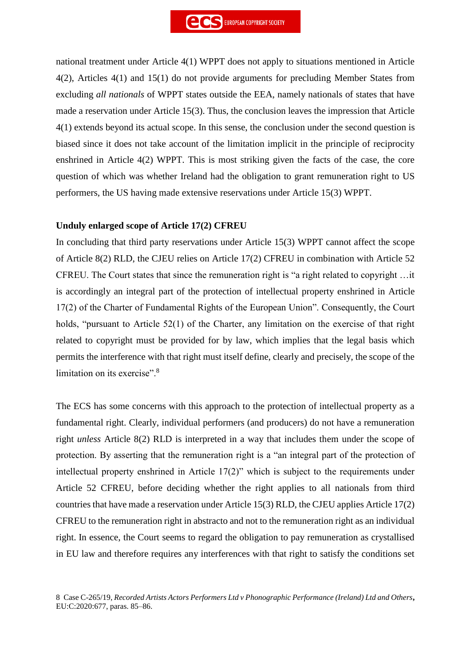national treatment under Article 4(1) WPPT does not apply to situations mentioned in Article 4(2), Articles 4(1) and 15(1) do not provide arguments for precluding Member States from excluding *all nationals* of WPPT states outside the EEA, namely nationals of states that have made a reservation under Article 15(3). Thus, the conclusion leaves the impression that Article 4(1) extends beyond its actual scope. In this sense, the conclusion under the second question is biased since it does not take account of the limitation implicit in the principle of reciprocity enshrined in Article 4(2) WPPT. This is most striking given the facts of the case, the core question of which was whether Ireland had the obligation to grant remuneration right to US performers, the US having made extensive reservations under Article 15(3) WPPT.

#### **Unduly enlarged scope of Article 17(2) CFREU**

In concluding that third party reservations under Article 15(3) WPPT cannot affect the scope of Article 8(2) RLD, the CJEU relies on Article 17(2) CFREU in combination with Article 52 CFREU. The Court states that since the remuneration right is "a right related to copyright …it is accordingly an integral part of the protection of intellectual property enshrined in Article 17(2) of the Charter of Fundamental Rights of the European Union". Consequently, the Court holds, "pursuant to Article 52(1) of the Charter, any limitation on the exercise of that right related to copyright must be provided for by law, which implies that the legal basis which permits the interference with that right must itself define, clearly and precisely, the scope of the limitation on its exercise".<sup>8</sup>

The ECS has some concerns with this approach to the protection of intellectual property as a fundamental right. Clearly, individual performers (and producers) do not have a remuneration right *unless* Article 8(2) RLD is interpreted in a way that includes them under the scope of protection. By asserting that the remuneration right is a "an integral part of the protection of intellectual property enshrined in Article 17(2)" which is subject to the requirements under Article 52 CFREU, before deciding whether the right applies to all nationals from third countries that have made a reservation under Article 15(3) RLD, the CJEU applies Article 17(2) CFREU to the remuneration right in abstracto and not to the remuneration right as an individual right. In essence, the Court seems to regard the obligation to pay remuneration as crystallised in EU law and therefore requires any interferences with that right to satisfy the conditions set

<sup>8</sup> Case C-265/19, *Recorded Artists Actors Performers Ltd v Phonographic Performance (Ireland) Ltd and Others***,** EU:C:2020:677, paras. 85–86.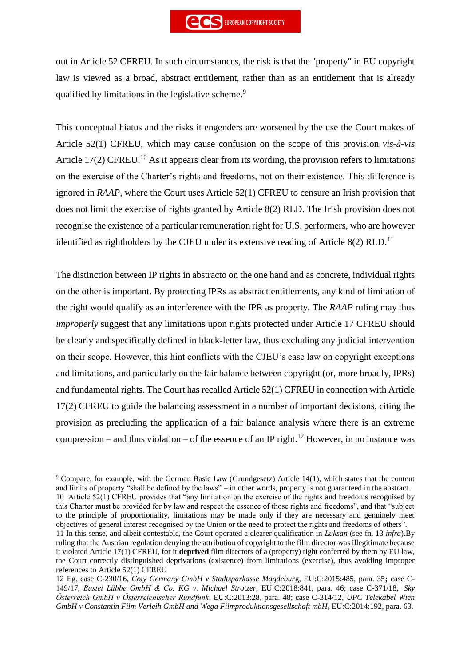out in Article 52 CFREU. In such circumstances, the risk is that the "property" in EU copyright law is viewed as a broad, abstract entitlement, rather than as an entitlement that is already qualified by limitations in the legislative scheme.<sup>9</sup>

This conceptual hiatus and the risks it engenders are worsened by the use the Court makes of Article 52(1) CFREU, which may cause confusion on the scope of this provision *vis-à-vis* Article 17(2) CFREU.<sup>10</sup> As it appears clear from its wording, the provision refers to limitations on the exercise of the Charter's rights and freedoms, not on their existence. This difference is ignored in *RAAP*, where the Court uses Article 52(1) CFREU to censure an Irish provision that does not limit the exercise of rights granted by Article 8(2) RLD. The Irish provision does not recognise the existence of a particular remuneration right for U.S. performers, who are however identified as rightholders by the CJEU under its extensive reading of Article 8(2) RLD.<sup>11</sup>

The distinction between IP rights in abstracto on the one hand and as concrete, individual rights on the other is important. By protecting IPRs as abstract entitlements, any kind of limitation of the right would qualify as an interference with the IPR as property. The *RAAP* ruling may thus *improperly* suggest that any limitations upon rights protected under Article 17 CFREU should be clearly and specifically defined in black-letter law, thus excluding any judicial intervention on their scope. However, this hint conflicts with the CJEU's case law on copyright exceptions and limitations, and particularly on the fair balance between copyright (or, more broadly, IPRs) and fundamental rights. The Court has recalled Article 52(1) CFREU in connection with Article 17(2) CFREU to guide the balancing assessment in a number of important decisions, citing the provision as precluding the application of a fair balance analysis where there is an extreme compression – and thus violation – of the essence of an IP right.<sup>12</sup> However, in no instance was

<sup>9</sup> Compare, for example, with the German Basic Law (Grundgesetz) Article 14(1), which states that the content and limits of property "shall be defined by the laws" – in other words, property is not guaranteed in the abstract. 10 Article 52(1) CFREU provides that "any limitation on the exercise of the rights and freedoms recognised by this Charter must be provided for by law and respect the essence of those rights and freedoms", and that "subject to the principle of proportionality, limitations may be made only if they are necessary and genuinely meet objectives of general interest recognised by the Union or the need to protect the rights and freedoms of others".

11 In this sense, and albeit contestable, the Court operated a clearer qualification in *Luksan* (see fn. 13 *infra*).By ruling that the Austrian regulation denying the attribution of copyright to the film director was illegitimate because it violated Article 17(1) CFREU, for it **deprived** film directors of a (property) right conferred by them by EU law, the Court correctly distinguished deprivations (existence) from limitations (exercise), thus avoiding improper references to Article 52(1) CFREU

12 Eg. case C-230/16, *Coty Germany GmbH v Stadtsparkasse Magdebur*g, EU:C:2015:485, para. 35**;** case C-149/17, *Bastei Lübbe GmbH & Co. KG v. Michael Strotzer*, EU:C:2018:841, para. 46; case C-371/18, *Sky Österreich GmbH v Österreichischer Rundfunk*, EU:C:2013:28, para. 48; case C-314/12, *UPC Telekabel Wien GmbH v Constantin Film Verleih GmbH and Wega Filmproduktionsgesellschaft mbH***,** EU:C:2014:192, para. 63.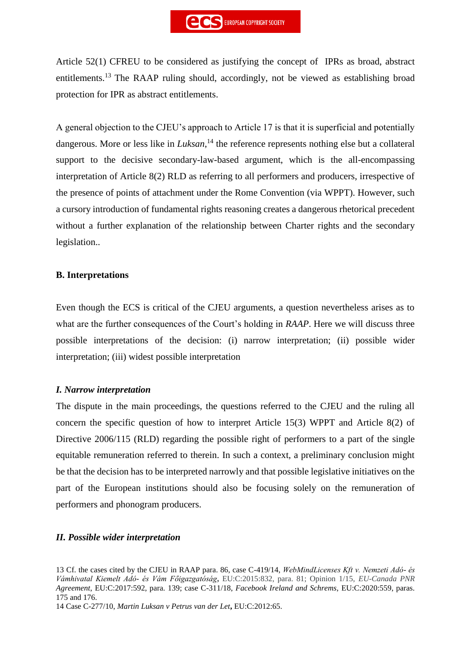Article 52(1) CFREU to be considered as justifying the concept of IPRs as broad, abstract entitlements.<sup>13</sup> The RAAP ruling should, accordingly, not be viewed as establishing broad protection for IPR as abstract entitlements.

A general objection to the CJEU's approach to Article 17 is that it is superficial and potentially dangerous. More or less like in *Luksan*, <sup>14</sup> the reference represents nothing else but a collateral support to the decisive secondary-law-based argument, which is the all-encompassing interpretation of Article 8(2) RLD as referring to all performers and producers, irrespective of the presence of points of attachment under the Rome Convention (via WPPT). However, such a cursory introduction of fundamental rights reasoning creates a dangerous rhetorical precedent without a further explanation of the relationship between Charter rights and the secondary legislation..

# **B. Interpretations**

Even though the ECS is critical of the CJEU arguments, a question nevertheless arises as to what are the further consequences of the Court's holding in *RAAP*. Here we will discuss three possible interpretations of the decision: (i) narrow interpretation; (ii) possible wider interpretation; (iii) widest possible interpretation

# *I. Narrow interpretation*

The dispute in the main proceedings, the questions referred to the CJEU and the ruling all concern the specific question of how to interpret Article 15(3) WPPT and Article 8(2) of Directive 2006/115 (RLD) regarding the possible right of performers to a part of the single equitable remuneration referred to therein. In such a context, a preliminary conclusion might be that the decision has to be interpreted narrowly and that possible legislative initiatives on the part of the European institutions should also be focusing solely on the remuneration of performers and phonogram producers.

#### *II. Possible wider interpretation*

<sup>13</sup> Cf. the cases cited by the CJEU in RAAP para. 86, case C-419/14, *WebMindLicenses Kft v. Nemzeti Adó- és Vámhivatal Kiemelt Adó- és Vám Főigazgatóság***,** EU:C:2015:832, para. 81; Opinion 1/15, *EU-Canada PNR Agreement*, EU:C:2017:592, para. 139; case C-311/18, *Facebook Ireland and Schrems*, EU:C:2020:559, paras. 175 and 176.

<sup>14</sup> Case C-277/10, *Martin Luksan v Petrus van der Let***,** EU:C:2012:65.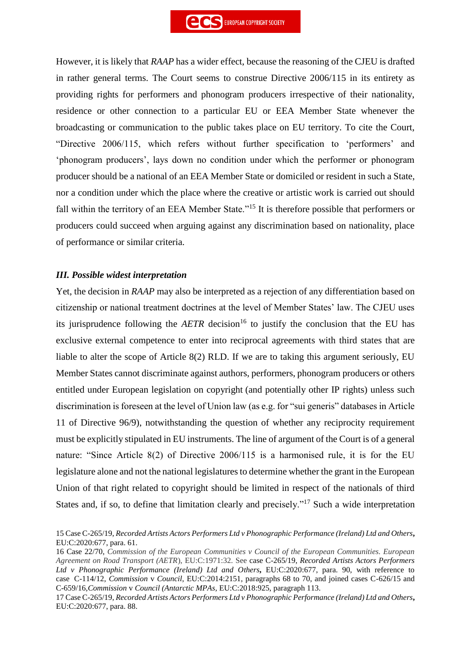However, it is likely that *RAAP* has a wider effect, because the reasoning of the CJEU is drafted in rather general terms. The Court seems to construe Directive 2006/115 in its entirety as providing rights for performers and phonogram producers irrespective of their nationality, residence or other connection to a particular EU or EEA Member State whenever the broadcasting or communication to the public takes place on EU territory. To cite the Court, "Directive 2006/115, which refers without further specification to 'performers' and 'phonogram producers', lays down no condition under which the performer or phonogram producer should be a national of an EEA Member State or domiciled or resident in such a State, nor a condition under which the place where the creative or artistic work is carried out should fall within the territory of an EEA Member State."<sup>15</sup> It is therefore possible that performers or producers could succeed when arguing against any discrimination based on nationality, place of performance or similar criteria.

#### *III. Possible widest interpretation*

Yet, the decision in *RAAP* may also be interpreted as a rejection of any differentiation based on citizenship or national treatment doctrines at the level of Member States' law. The CJEU uses its jurisprudence following the  $AETR$  decision<sup>16</sup> to justify the conclusion that the EU has exclusive external competence to enter into reciprocal agreements with third states that are liable to alter the scope of Article 8(2) RLD. If we are to taking this argument seriously, EU Member States cannot discriminate against authors, performers, phonogram producers or others entitled under European legislation on copyright (and potentially other IP rights) unless such discrimination is foreseen at the level of Union law (as e.g. for "sui generis" databases in Article 11 of Directive 96/9), notwithstanding the question of whether any reciprocity requirement must be explicitly stipulated in EU instruments. The line of argument of the Court is of a general nature: "Since Article 8(2) of Directive 2006/115 is a harmonised rule, it is for the EU legislature alone and not the national legislatures to determine whether the grant in the European Union of that right related to copyright should be limited in respect of the nationals of third States and, if so, to define that limitation clearly and precisely."<sup>17</sup> Such a wide interpretation

<sup>15</sup> Case C-265/19, *Recorded Artists Actors Performers Ltd v Phonographic Performance (Ireland) Ltd and Others***,** EU:C:2020:677, para. 61.

<sup>16</sup> Case 22/70, *Commission of the European Communities v Council of the European Communities. European Agreement on Road Transport (AETR*), EU:C:1971:32. See case C-265/19, *Recorded Artists Actors Performers Ltd v Phonographic Performance (Ireland) Ltd and Others***,** EU:C:2020:677, para. 90, with reference to case C-114/12, *Commission* v *Council*, EU:C:2014:2151, paragraphs 68 to 70, and joined cases C-626/15 and C-659/16,*Commission* v *Council (Antarctic MPAs,* EU:C:2018:925, paragraph 113.

<sup>17</sup> Case C-265/19, *Recorded Artists Actors Performers Ltd v Phonographic Performance (Ireland) Ltd and Others***,** EU:C:2020:677, para. 88.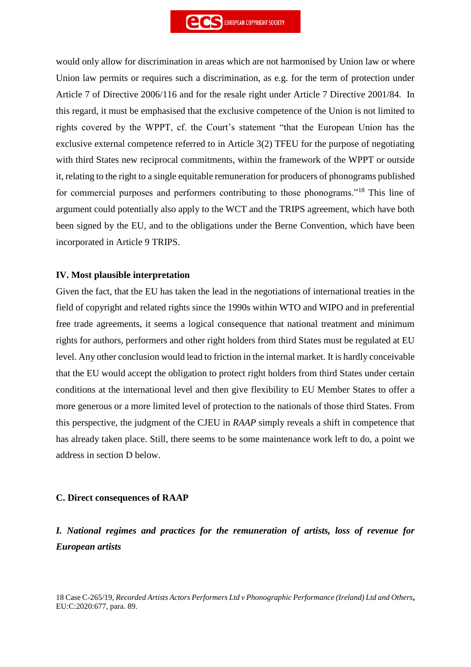would only allow for discrimination in areas which are not harmonised by Union law or where Union law permits or requires such a discrimination, as e.g. for the term of protection under Article 7 of Directive 2006/116 and for the resale right under Article 7 Directive 2001/84. In this regard, it must be emphasised that the exclusive competence of the Union is not limited to rights covered by the WPPT, cf. the Court's statement "that the European Union has the exclusive external competence referred to in Article 3(2) TFEU for the purpose of negotiating with third States new reciprocal commitments, within the framework of the WPPT or outside it, relating to the right to a single equitable remuneration for producers of phonograms published for commercial purposes and performers contributing to those phonograms."<sup>18</sup> This line of argument could potentially also apply to the WCT and the TRIPS agreement, which have both been signed by the EU, and to the obligations under the Berne Convention, which have been incorporated in Article 9 TRIPS.

#### **IV. Most plausible interpretation**

Given the fact, that the EU has taken the lead in the negotiations of international treaties in the field of copyright and related rights since the 1990s within WTO and WIPO and in preferential free trade agreements, it seems a logical consequence that national treatment and minimum rights for authors, performers and other right holders from third States must be regulated at EU level. Any other conclusion would lead to friction in the internal market. It is hardly conceivable that the EU would accept the obligation to protect right holders from third States under certain conditions at the international level and then give flexibility to EU Member States to offer a more generous or a more limited level of protection to the nationals of those third States. From this perspective, the judgment of the CJEU in *RAAP* simply reveals a shift in competence that has already taken place. Still, there seems to be some maintenance work left to do, a point we address in section D below.

#### **C. Direct consequences of RAAP**

# *I. National regimes and practices for the remuneration of artists, loss of revenue for European artists*

18 Case C-265/19, *Recorded Artists Actors Performers Ltd v Phonographic Performance (Ireland) Ltd and Others***,** EU:C:2020:677, para. 89.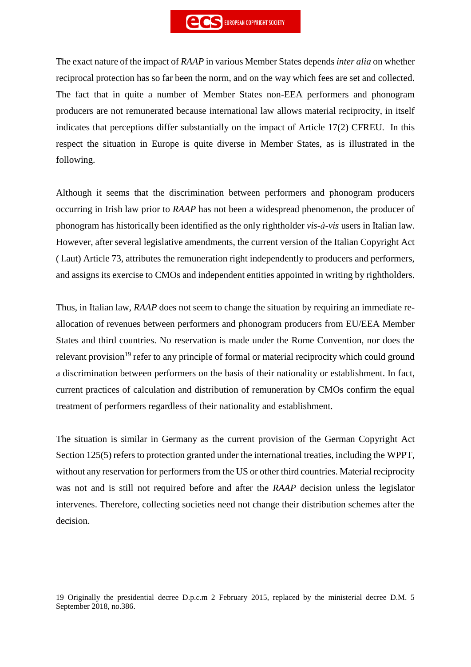The exact nature of the impact of *RAAP* in various Member States depends *inter alia* on whether reciprocal protection has so far been the norm, and on the way which fees are set and collected. The fact that in quite a number of Member States non-EEA performers and phonogram producers are not remunerated because international law allows material reciprocity, in itself indicates that perceptions differ substantially on the impact of Article 17(2) CFREU. In this respect the situation in Europe is quite diverse in Member States, as is illustrated in the following.

Although it seems that the discrimination between performers and phonogram producers occurring in Irish law prior to *RAAP* has not been a widespread phenomenon, the producer of phonogram has historically been identified as the only rightholder *vis-à-vis* users in Italian law. However, after several legislative amendments, the current version of the Italian Copyright Act ( l.aut) Article 73, attributes the remuneration right independently to producers and performers, and assigns its exercise to CMOs and independent entities appointed in writing by rightholders.

Thus, in Italian law, *RAAP* does not seem to change the situation by requiring an immediate reallocation of revenues between performers and phonogram producers from EU/EEA Member States and third countries. No reservation is made under the Rome Convention, nor does the relevant provision<sup>19</sup> refer to any principle of formal or material reciprocity which could ground a discrimination between performers on the basis of their nationality or establishment. In fact, current practices of calculation and distribution of remuneration by CMOs confirm the equal treatment of performers regardless of their nationality and establishment.

The situation is similar in Germany as the current provision of the German Copyright Act Section 125(5) refers to protection granted under the international treaties, including the WPPT, without any reservation for performers from the US or other third countries. Material reciprocity was not and is still not required before and after the *RAAP* decision unless the legislator intervenes. Therefore, collecting societies need not change their distribution schemes after the decision.

19 Originally the presidential decree D.p.c.m 2 February 2015, replaced by the ministerial decree D.M. 5 September 2018, no.386.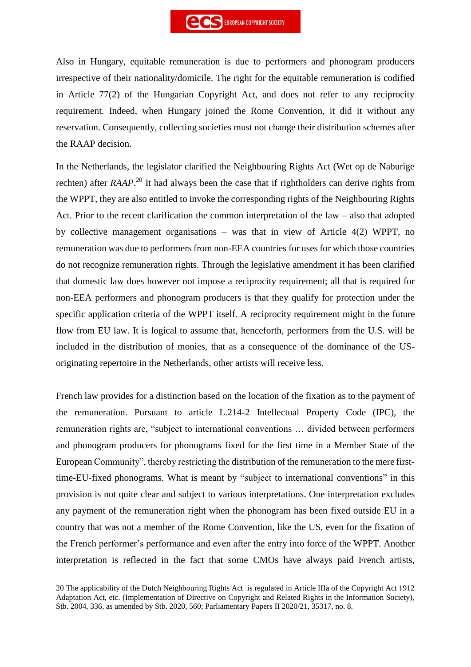Also in Hungary, equitable remuneration is due to performers and phonogram producers irrespective of their nationality/domicile. The right for the equitable remuneration is codified in Article 77(2) of the Hungarian Copyright Act, and does not refer to any reciprocity requirement. Indeed, when Hungary joined the Rome Convention, it did it without any reservation. Consequently, collecting societies must not change their distribution schemes after the RAAP decision.

In the Netherlands, the legislator clarified the Neighbouring Rights Act (Wet op de Naburige rechten) after *RAAP*. <sup>20</sup> It had always been the case that if rightholders can derive rights from the WPPT, they are also entitled to invoke the corresponding rights of the Neighbouring Rights Act. Prior to the recent clarification the common interpretation of the law – also that adopted by collective management organisations – was that in view of Article 4(2) WPPT, no remuneration was due to performers from non-EEA countries for uses for which those countries do not recognize remuneration rights. Through the legislative amendment it has been clarified that domestic law does however not impose a reciprocity requirement; all that is required for non-EEA performers and phonogram producers is that they qualify for protection under the specific application criteria of the WPPT itself. A reciprocity requirement might in the future flow from EU law. It is logical to assume that, henceforth, performers from the U.S. will be included in the distribution of monies, that as a consequence of the dominance of the USoriginating repertoire in the Netherlands, other artists will receive less.

French law provides for a distinction based on the location of the fixation as to the payment of the remuneration. Pursuant to article L.214-2 Intellectual Property Code (IPC), the remuneration rights are, "subject to international conventions … divided between performers and phonogram producers for phonograms fixed for the first time in a Member State of the European Community", thereby restricting the distribution of the remuneration to the mere firsttime-EU-fixed phonograms. What is meant by "subject to international conventions" in this provision is not quite clear and subject to various interpretations. One interpretation excludes any payment of the remuneration right when the phonogram has been fixed outside EU in a country that was not a member of the Rome Convention, like the US, even for the fixation of the French performer's performance and even after the entry into force of the WPPT. Another interpretation is reflected in the fact that some CMOs have always paid French artists,

<sup>20</sup> The applicability of the Dutch Neighbouring Rights Act is regulated in Article IIIa of the Copyright Act 1912 Adaptation Act, etc. (Implementation of Directive on Copyright and Related Rights in the Information Society), Stb. 2004, 336, as amended by Stb. 2020, 560; Parliamentary Papers II 2020/21, 35317, no. 8.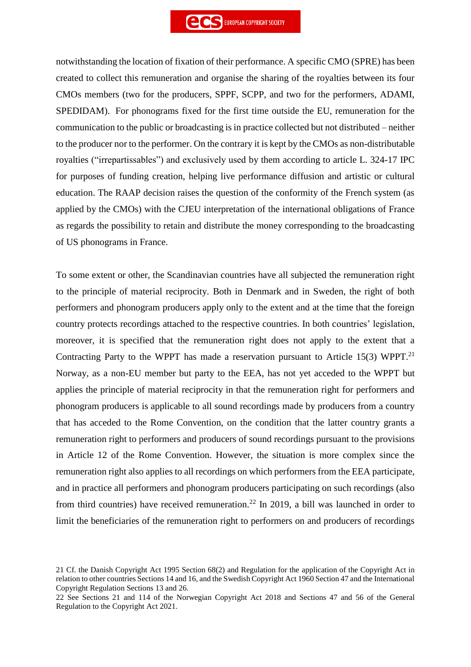notwithstanding the location of fixation of their performance. A specific CMO (SPRE) has been created to collect this remuneration and organise the sharing of the royalties between its four CMOs members (two for the producers, SPPF, SCPP, and two for the performers, ADAMI, SPEDIDAM). For phonograms fixed for the first time outside the EU, remuneration for the communication to the public or broadcasting is in practice collected but not distributed – neither to the producer nor to the performer. On the contrary it is kept by the CMOs as non-distributable royalties ("irrepartissables") and exclusively used by them according to article L. 324-17 IPC for purposes of funding creation, helping live performance diffusion and artistic or cultural education. The RAAP decision raises the question of the conformity of the French system (as applied by the CMOs) with the CJEU interpretation of the international obligations of France as regards the possibility to retain and distribute the money corresponding to the broadcasting of US phonograms in France.

To some extent or other, the Scandinavian countries have all subjected the remuneration right to the principle of material reciprocity. Both in Denmark and in Sweden, the right of both performers and phonogram producers apply only to the extent and at the time that the foreign country protects recordings attached to the respective countries. In both countries' legislation, moreover, it is specified that the remuneration right does not apply to the extent that a Contracting Party to the WPPT has made a reservation pursuant to Article 15(3) WPPT.<sup>21</sup> Norway, as a non-EU member but party to the EEA, has not yet acceded to the WPPT but applies the principle of material reciprocity in that the remuneration right for performers and phonogram producers is applicable to all sound recordings made by producers from a country that has acceded to the Rome Convention, on the condition that the latter country grants a remuneration right to performers and producers of sound recordings pursuant to the provisions in Article 12 of the Rome Convention. However, the situation is more complex since the remuneration right also applies to all recordings on which performers from the EEA participate, and in practice all performers and phonogram producers participating on such recordings (also from third countries) have received remuneration.<sup>22</sup> In 2019, a bill was launched in order to limit the beneficiaries of the remuneration right to performers on and producers of recordings

<sup>21</sup> Cf. the Danish Copyright Act 1995 Section 68(2) and Regulation for the application of the Copyright Act in relation to other countries Sections 14 and 16, and the Swedish Copyright Act 1960 Section 47 and the International Copyright Regulation Sections 13 and 26.

<sup>22</sup> See Sections 21 and 114 of the Norwegian Copyright Act 2018 and Sections 47 and 56 of the General Regulation to the Copyright Act 2021.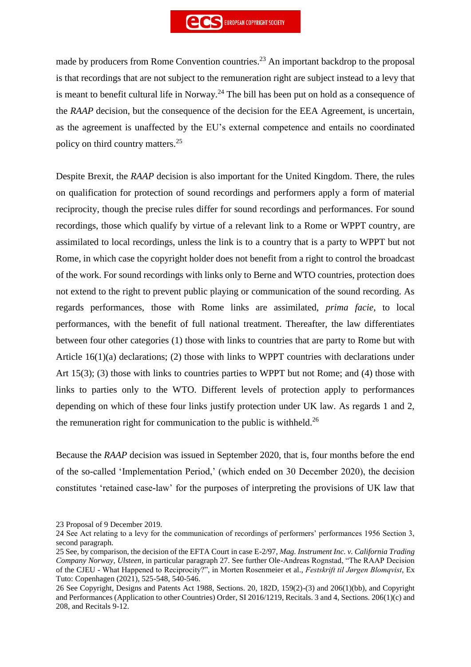made by producers from Rome Convention countries.<sup>23</sup> An important backdrop to the proposal is that recordings that are not subject to the remuneration right are subject instead to a levy that is meant to benefit cultural life in Norway.<sup>24</sup> The bill has been put on hold as a consequence of the *RAAP* decision, but the consequence of the decision for the EEA Agreement, is uncertain, as the agreement is unaffected by the EU's external competence and entails no coordinated policy on third country matters.<sup>25</sup>

Despite Brexit, the *RAAP* decision is also important for the United Kingdom. There, the rules on qualification for protection of sound recordings and performers apply a form of material reciprocity, though the precise rules differ for sound recordings and performances. For sound recordings, those which qualify by virtue of a relevant link to a Rome or WPPT country, are assimilated to local recordings, unless the link is to a country that is a party to WPPT but not Rome, in which case the copyright holder does not benefit from a right to control the broadcast of the work. For sound recordings with links only to Berne and WTO countries, protection does not extend to the right to prevent public playing or communication of the sound recording. As regards performances, those with Rome links are assimilated, *prima facie*, to local performances, with the benefit of full national treatment. Thereafter, the law differentiates between four other categories (1) those with links to countries that are party to Rome but with Article 16(1)(a) declarations; (2) those with links to WPPT countries with declarations under Art 15(3); (3) those with links to countries parties to WPPT but not Rome; and (4) those with links to parties only to the WTO. Different levels of protection apply to performances depending on which of these four links justify protection under UK law. As regards 1 and 2, the remuneration right for communication to the public is withheld.<sup>26</sup>

Because the *RAAP* decision was issued in September 2020, that is, four months before the end of the so-called 'Implementation Period,' (which ended on 30 December 2020), the decision constitutes 'retained case-law' for the purposes of interpreting the provisions of UK law that

<sup>23</sup> Proposal of 9 December 2019.

<sup>24</sup> See Act relating to a levy for the communication of recordings of performers' performances 1956 Section 3, second paragraph.

<sup>25</sup> See, by comparison, the decision of the EFTA Court in case E-2/97, *Mag. Instrument Inc. v. California Trading Company Norway, Ulsteen*, in particular paragraph 27. See further Ole-Andreas Rognstad, "The RAAP Decision of the CJEU - What Happened to Reciprocity?", in Morten Rosenmeier et al., *Festskrift til Jørgen Blomqvist*, Ex Tuto: Copenhagen (2021), 525-548, 540-546.

<sup>26</sup> See Copyright, Designs and Patents Act 1988, Sections. 20, 182D, 159(2)-(3) and 206(1)(bb), and Copyright and Performances (Application to other Countries) Order, SI 2016/1219, Recitals. 3 and 4, Sections. 206(1)(c) and 208, and Recitals 9-12.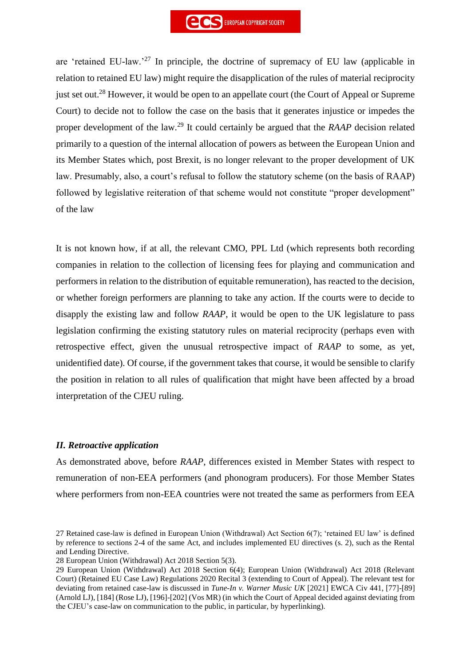are 'retained EU-law.'<sup>27</sup> In principle, the doctrine of supremacy of EU law (applicable in relation to retained EU law) might require the disapplication of the rules of material reciprocity just set out.<sup>28</sup> However, it would be open to an appellate court (the Court of Appeal or Supreme Court) to decide not to follow the case on the basis that it generates injustice or impedes the proper development of the law.<sup>29</sup> It could certainly be argued that the *RAAP* decision related primarily to a question of the internal allocation of powers as between the European Union and its Member States which, post Brexit, is no longer relevant to the proper development of UK law. Presumably, also, a court's refusal to follow the statutory scheme (on the basis of RAAP) followed by legislative reiteration of that scheme would not constitute "proper development" of the law

It is not known how, if at all, the relevant CMO, PPL Ltd (which represents both recording companies in relation to the collection of licensing fees for playing and communication and performers in relation to the distribution of equitable remuneration), has reacted to the decision, or whether foreign performers are planning to take any action. If the courts were to decide to disapply the existing law and follow *RAAP*, it would be open to the UK legislature to pass legislation confirming the existing statutory rules on material reciprocity (perhaps even with retrospective effect, given the unusual retrospective impact of *RAAP* to some, as yet, unidentified date). Of course, if the government takes that course, it would be sensible to clarify the position in relation to all rules of qualification that might have been affected by a broad interpretation of the CJEU ruling.

#### *II. Retroactive application*

As demonstrated above, before *RAAP*, differences existed in Member States with respect to remuneration of non-EEA performers (and phonogram producers). For those Member States where performers from non-EEA countries were not treated the same as performers from EEA

28 European Union (Withdrawal) Act 2018 Section 5(3).

<sup>27</sup> Retained case-law is defined in European Union (Withdrawal) Act Section 6(7); 'retained EU law' is defined by reference to sections 2-4 of the same Act, and includes implemented EU directives (s. 2), such as the Rental and Lending Directive.

<sup>29</sup> European Union (Withdrawal) Act 2018 Section 6(4); European Union (Withdrawal) Act 2018 (Relevant Court) (Retained EU Case Law) Regulations 2020 Recital 3 (extending to Court of Appeal). The relevant test for deviating from retained case-law is discussed in *Tune-In v. Warner Music UK* [2021] EWCA Civ 441, [77]-[89] (Arnold LJ), [184] (Rose LJ), [196]-[202] (Vos MR) (in which the Court of Appeal decided against deviating from the CJEU's case-law on communication to the public, in particular, by hyperlinking).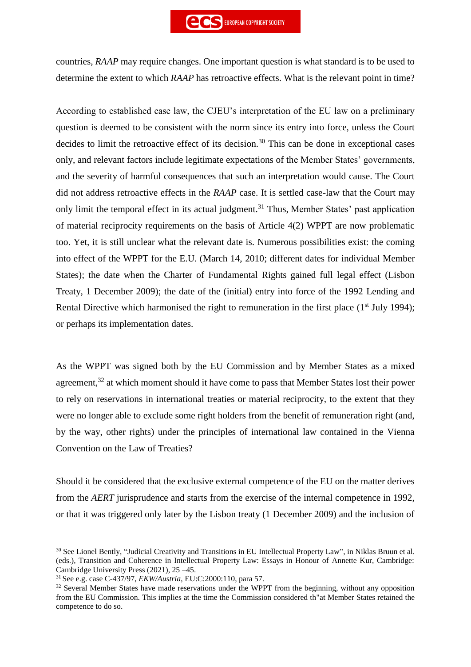

countries, *RAAP* may require changes. One important question is what standard is to be used to determine the extent to which *RAAP* has retroactive effects. What is the relevant point in time?

According to established case law, the CJEU's interpretation of the EU law on a preliminary question is deemed to be consistent with the norm since its entry into force, unless the Court decides to limit the retroactive effect of its decision.<sup>30</sup> This can be done in exceptional cases only, and relevant factors include legitimate expectations of the Member States' governments, and the severity of harmful consequences that such an interpretation would cause. The Court did not address retroactive effects in the *RAAP* case. It is settled case-law that the Court may only limit the temporal effect in its actual judgment.<sup>31</sup> Thus, Member States' past application of material reciprocity requirements on the basis of Article 4(2) WPPT are now problematic too. Yet, it is still unclear what the relevant date is. Numerous possibilities exist: the coming into effect of the WPPT for the E.U. (March 14, 2010; different dates for individual Member States); the date when the Charter of Fundamental Rights gained full legal effect (Lisbon Treaty, 1 December 2009); the date of the (initial) entry into force of the 1992 Lending and Rental Directive which harmonised the right to remuneration in the first place  $(1<sup>st</sup>$  July 1994); or perhaps its implementation dates.

As the WPPT was signed both by the EU Commission and by Member States as a mixed agreement, $32$  at which moment should it have come to pass that Member States lost their power to rely on reservations in international treaties or material reciprocity, to the extent that they were no longer able to exclude some right holders from the benefit of remuneration right (and, by the way, other rights) under the principles of international law contained in the Vienna Convention on the Law of Treaties?

Should it be considered that the exclusive external competence of the EU on the matter derives from the *AERT* jurisprudence and starts from the exercise of the internal competence in 1992, or that it was triggered only later by the Lisbon treaty (1 December 2009) and the inclusion of

<sup>&</sup>lt;sup>30</sup> See Lionel Bently, "Judicial Creativity and Transitions in EU Intellectual Property Law", in Niklas Bruun et al. (eds.), Transition and Coherence in Intellectual Property Law: Essays in Honour of Annette Kur, Cambridge: Cambridge University Press (2021), 25 –45.

<sup>31</sup> See e.g. case C-437/97, *EKW/Austria*, EU:C:2000:110, para 57.

<sup>&</sup>lt;sup>32</sup> Several Member States have made reservations under the WPPT from the beginning, without any opposition from the EU Commission. This implies at the time the Commission considered th"at Member States retained the competence to do so.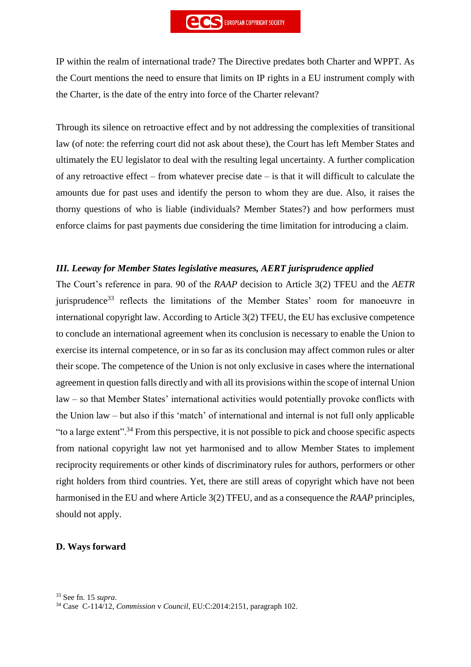IP within the realm of international trade? The Directive predates both Charter and WPPT. As the Court mentions the need to ensure that limits on IP rights in a EU instrument comply with the Charter, is the date of the entry into force of the Charter relevant?

Through its silence on retroactive effect and by not addressing the complexities of transitional law (of note: the referring court did not ask about these), the Court has left Member States and ultimately the EU legislator to deal with the resulting legal uncertainty. A further complication of any retroactive effect – from whatever precise date – is that it will difficult to calculate the amounts due for past uses and identify the person to whom they are due. Also, it raises the thorny questions of who is liable (individuals? Member States?) and how performers must enforce claims for past payments due considering the time limitation for introducing a claim.

#### *III. Leeway for Member States legislative measures, AERT jurisprudence applied*

The Court's reference in para. 90 of the *RAAP* decision to Article 3(2) TFEU and the *AETR* jurisprudence<sup>33</sup> reflects the limitations of the Member States' room for manoeuvre in international copyright law. According to Article 3(2) TFEU, the EU has exclusive competence to conclude an international agreement when its conclusion is necessary to enable the Union to exercise its internal competence, or in so far as its conclusion may affect common rules or alter their scope. The competence of the Union is not only exclusive in cases where the international agreement in question falls directly and with all its provisions within the scope of internal Union law – so that Member States' international activities would potentially provoke conflicts with the Union law – but also if this 'match' of international and internal is not full only applicable "to a large extent".<sup>34</sup> From this perspective, it is not possible to pick and choose specific aspects from national copyright law not yet harmonised and to allow Member States to implement reciprocity requirements or other kinds of discriminatory rules for authors, performers or other right holders from third countries. Yet, there are still areas of copyright which have not been harmonised in the EU and where Article 3(2) TFEU, and as a consequence the *RAAP* principles, should not apply.

#### **D. Ways forward**

<sup>34</sup> Case C-114/12, *Commission* v *Council*, EU:C:2014:2151, paragraph 102.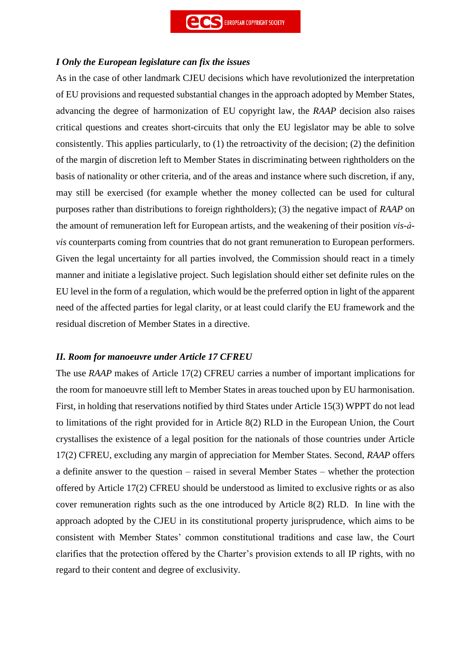## *I Only the European legislature can fix the issues*

As in the case of other landmark CJEU decisions which have revolutionized the interpretation of EU provisions and requested substantial changes in the approach adopted by Member States, advancing the degree of harmonization of EU copyright law, the *RAAP* decision also raises critical questions and creates short-circuits that only the EU legislator may be able to solve consistently. This applies particularly, to (1) the retroactivity of the decision; (2) the definition of the margin of discretion left to Member States in discriminating between rightholders on the basis of nationality or other criteria, and of the areas and instance where such discretion, if any, may still be exercised (for example whether the money collected can be used for cultural purposes rather than distributions to foreign rightholders); (3) the negative impact of *RAAP* on the amount of remuneration left for European artists, and the weakening of their position *vis-àvis* counterparts coming from countries that do not grant remuneration to European performers. Given the legal uncertainty for all parties involved, the Commission should react in a timely manner and initiate a legislative project. Such legislation should either set definite rules on the EU level in the form of a regulation, which would be the preferred option in light of the apparent need of the affected parties for legal clarity, or at least could clarify the EU framework and the residual discretion of Member States in a directive.

# *II. Room for manoeuvre under Article 17 CFREU*

The use *RAAP* makes of Article 17(2) CFREU carries a number of important implications for the room for manoeuvre still left to Member States in areas touched upon by EU harmonisation. First, in holding that reservations notified by third States under Article 15(3) WPPT do not lead to limitations of the right provided for in Article 8(2) RLD in the European Union, the Court crystallises the existence of a legal position for the nationals of those countries under Article 17(2) CFREU, excluding any margin of appreciation for Member States. Second, *RAAP* offers a definite answer to the question – raised in several Member States – whether the protection offered by Article 17(2) CFREU should be understood as limited to exclusive rights or as also cover remuneration rights such as the one introduced by Article 8(2) RLD. In line with the approach adopted by the CJEU in its constitutional property jurisprudence, which aims to be consistent with Member States' common constitutional traditions and case law, the Court clarifies that the protection offered by the Charter's provision extends to all IP rights, with no regard to their content and degree of exclusivity.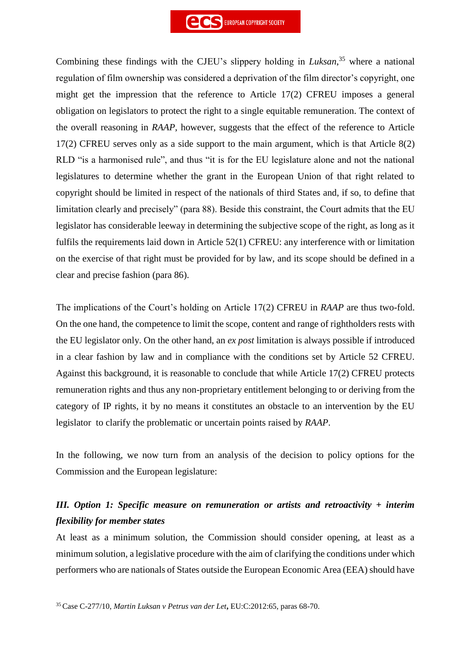

Combining these findings with the CJEU's slippery holding in *Luksan*, <sup>35</sup> where a national regulation of film ownership was considered a deprivation of the film director's copyright, one might get the impression that the reference to Article 17(2) CFREU imposes a general obligation on legislators to protect the right to a single equitable remuneration. The context of the overall reasoning in *RAAP*, however, suggests that the effect of the reference to Article 17(2) CFREU serves only as a side support to the main argument, which is that Article 8(2) RLD "is a harmonised rule", and thus "it is for the EU legislature alone and not the national legislatures to determine whether the grant in the European Union of that right related to copyright should be limited in respect of the nationals of third States and, if so, to define that limitation clearly and precisely" (para 88). Beside this constraint, the Court admits that the EU legislator has considerable leeway in determining the subjective scope of the right, as long as it fulfils the requirements laid down in Article 52(1) CFREU: any interference with or limitation on the exercise of that right must be provided for by law, and its scope should be defined in a clear and precise fashion (para 86).

The implications of the Court's holding on Article 17(2) CFREU in *RAAP* are thus two-fold. On the one hand, the competence to limit the scope, content and range of rightholders rests with the EU legislator only. On the other hand, an *ex post* limitation is always possible if introduced in a clear fashion by law and in compliance with the conditions set by Article 52 CFREU. Against this background, it is reasonable to conclude that while Article 17(2) CFREU protects remuneration rights and thus any non-proprietary entitlement belonging to or deriving from the category of IP rights, it by no means it constitutes an obstacle to an intervention by the EU legislator to clarify the problematic or uncertain points raised by *RAAP*.

In the following, we now turn from an analysis of the decision to policy options for the Commission and the European legislature:

# *III. Option 1: Specific measure on remuneration or artists and retroactivity + interim flexibility for member states*

At least as a minimum solution, the Commission should consider opening, at least as a minimum solution, a legislative procedure with the aim of clarifying the conditions under which performers who are nationals of States outside the European Economic Area (EEA) should have

<sup>35</sup> Case C-277/10, *Martin Luksan v Petrus van der Let***,** EU:C:2012:65, paras 68-70.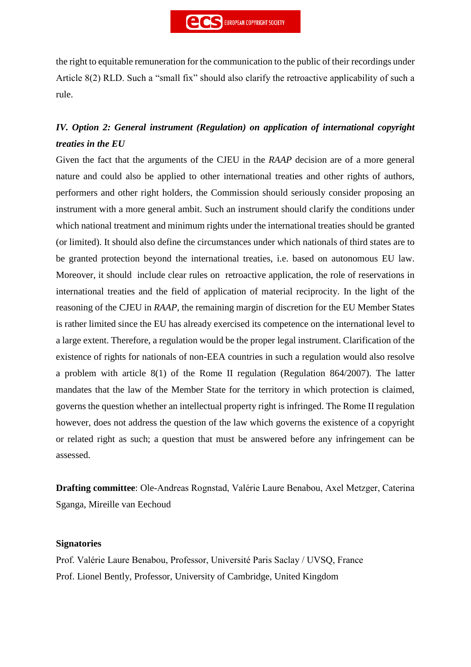the right to equitable remuneration for the communication to the public of their recordings under Article 8(2) RLD. Such a "small fix" should also clarify the retroactive applicability of such a rule.

# *IV. Option 2: General instrument (Regulation) on application of international copyright treaties in the EU*

Given the fact that the arguments of the CJEU in the *RAAP* decision are of a more general nature and could also be applied to other international treaties and other rights of authors, performers and other right holders, the Commission should seriously consider proposing an instrument with a more general ambit. Such an instrument should clarify the conditions under which national treatment and minimum rights under the international treaties should be granted (or limited). It should also define the circumstances under which nationals of third states are to be granted protection beyond the international treaties, i.e. based on autonomous EU law. Moreover, it should include clear rules on retroactive application, the role of reservations in international treaties and the field of application of material reciprocity. In the light of the reasoning of the CJEU in *RAAP*, the remaining margin of discretion for the EU Member States is rather limited since the EU has already exercised its competence on the international level to a large extent. Therefore, a regulation would be the proper legal instrument. Clarification of the existence of rights for nationals of non-EEA countries in such a regulation would also resolve a problem with article 8(1) of the Rome II regulation (Regulation 864/2007). The latter mandates that the law of the Member State for the territory in which protection is claimed, governs the question whether an intellectual property right is infringed. The Rome II regulation however, does not address the question of the law which governs the existence of a copyright or related right as such; a question that must be answered before any infringement can be assessed.

**Drafting committee**: Ole-Andreas Rognstad, Valérie Laure Benabou, Axel Metzger, Caterina Sganga, Mireille van Eechoud

#### **Signatories**

Prof. Valérie Laure Benabou, Professor, Université Paris Saclay / UVSQ, France Prof. Lionel Bently, Professor, University of Cambridge, United Kingdom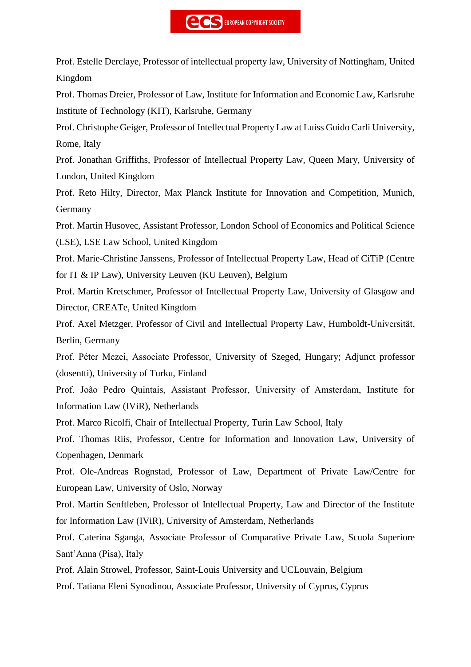Prof. Estelle Derclaye, Professor of intellectual property law, University of Nottingham, United Kingdom

Prof. Thomas Dreier, Professor of Law, Institute for Information and Economic Law, Karlsruhe Institute of Technology (KIT), Karlsruhe, Germany

Prof. Christophe Geiger, Professor of Intellectual Property Law at Luiss Guido Carli University, Rome, Italy

Prof. Jonathan Griffiths, Professor of Intellectual Property Law, Queen Mary, University of London, United Kingdom

Prof. Reto Hilty, Director, Max Planck Institute for Innovation and Competition, Munich, Germany

Prof. Martin Husovec, Assistant Professor, London School of Economics and Political Science (LSE), LSE Law School, United Kingdom

Prof. Marie-Christine Janssens, Professor of Intellectual Property Law, Head of CiTiP (Centre for IT & IP Law), University Leuven (KU Leuven), Belgium

Prof. Martin Kretschmer, Professor of Intellectual Property Law, University of Glasgow and Director, CREATe, United Kingdom

Prof. Axel Metzger, Professor of Civil and Intellectual Property Law, Humboldt-Universität, Berlin, Germany

Prof. Péter Mezei, Associate Professor, University of Szeged, Hungary; Adjunct professor (dosentti), University of Turku, Finland

Prof. João Pedro Quintais, Assistant Professor, University of Amsterdam, Institute for Information Law (IViR), Netherlands

Prof. Marco Ricolfi, Chair of Intellectual Property, Turin Law School, Italy

Prof. Thomas Riis, Professor, Centre for Information and Innovation Law, University of Copenhagen, Denmark

Prof. Ole-Andreas Rognstad, Professor of Law, Department of Private Law/Centre for European Law, University of Oslo, Norway

Prof. Martin Senftleben, Professor of Intellectual Property, Law and Director of the Institute for Information Law (IViR), University of Amsterdam, Netherlands

Prof. Caterina Sganga, Associate Professor of Comparative Private Law, Scuola Superiore Sant'Anna (Pisa), Italy

Prof. Alain Strowel, Professor, Saint-Louis University and UCLouvain, Belgium

Prof. Tatiana Eleni Synodinou, Associate Professor, University of Cyprus, Cyprus